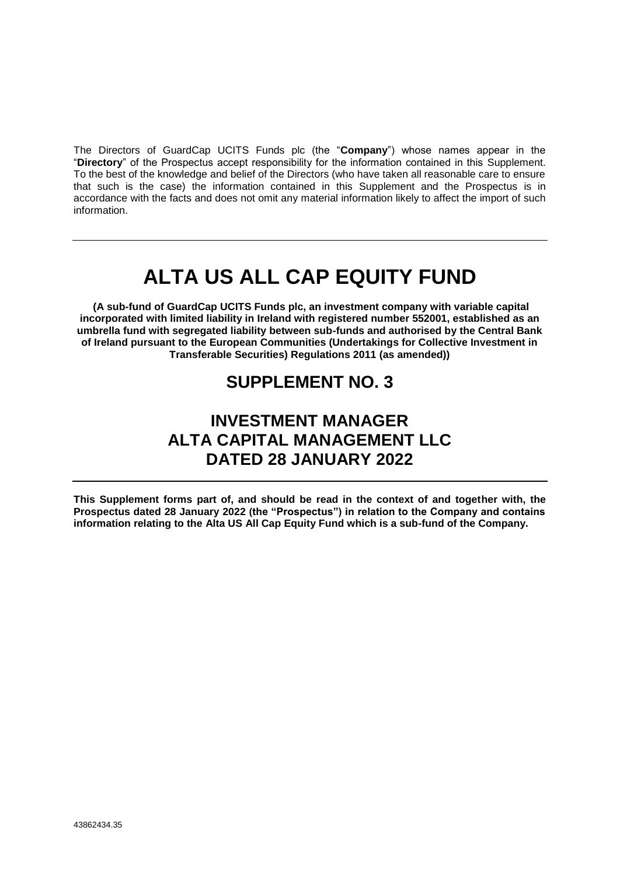The Directors of GuardCap UCITS Funds plc (the "**Company**") whose names appear in the "**Directory**" of the Prospectus accept responsibility for the information contained in this Supplement. To the best of the knowledge and belief of the Directors (who have taken all reasonable care to ensure that such is the case) the information contained in this Supplement and the Prospectus is in accordance with the facts and does not omit any material information likely to affect the import of such information.

# **ALTA US ALL CAP EQUITY FUND**

**(A sub-fund of GuardCap UCITS Funds plc, an investment company with variable capital incorporated with limited liability in Ireland with registered number 552001, established as an umbrella fund with segregated liability between sub-funds and authorised by the Central Bank of Ireland pursuant to the European Communities (Undertakings for Collective Investment in Transferable Securities) Regulations 2011 (as amended))**

# **SUPPLEMENT NO. 3**

# **INVESTMENT MANAGER ALTA CAPITAL MANAGEMENT LLC DATED 28 JANUARY 2022**

**This Supplement forms part of, and should be read in the context of and together with, the Prospectus dated 28 January 2022 (the "Prospectus") in relation to the Company and contains information relating to the Alta US All Cap Equity Fund which is a sub-fund of the Company.**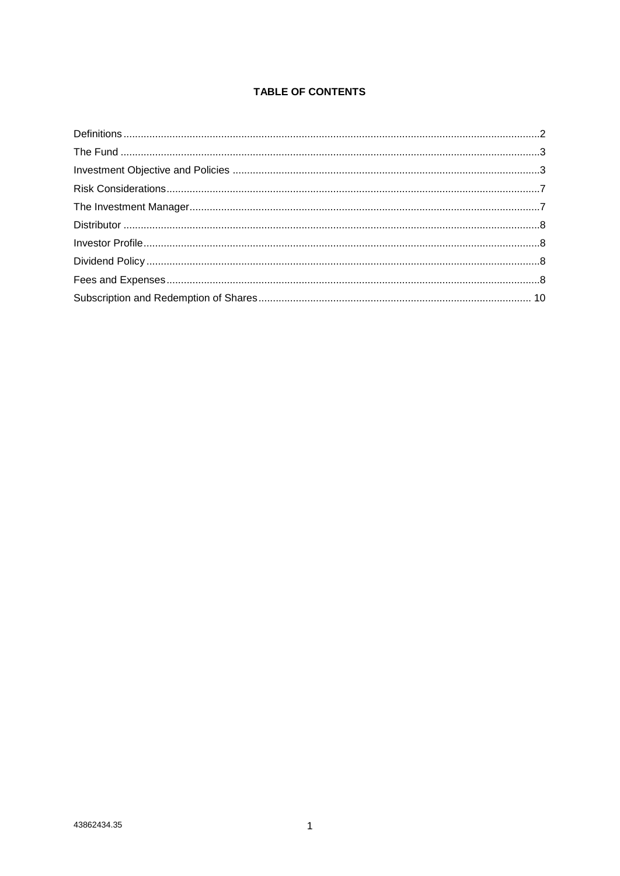# **TABLE OF CONTENTS**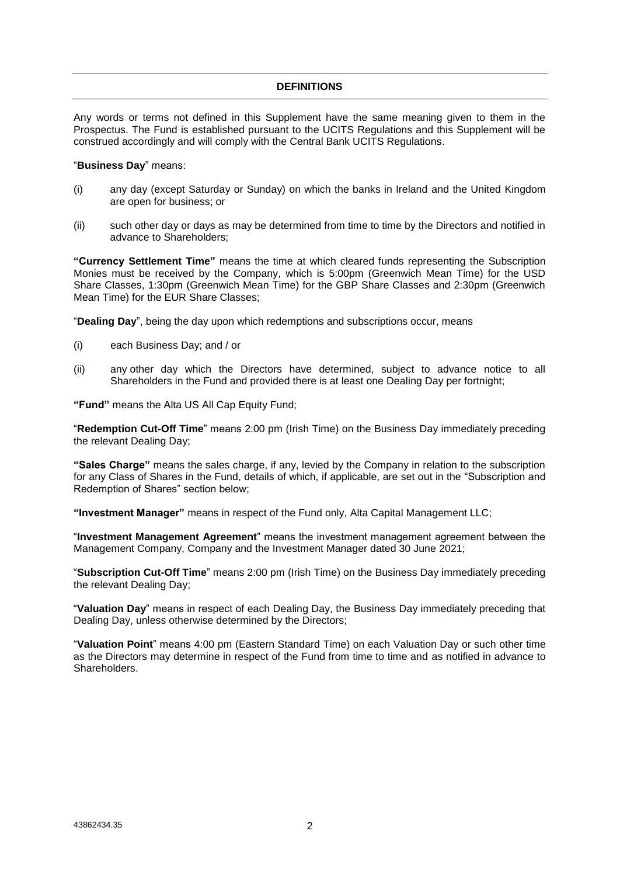# **DEFINITIONS**

<span id="page-2-0"></span>Any words or terms not defined in this Supplement have the same meaning given to them in the Prospectus. The Fund is established pursuant to the UCITS Regulations and this Supplement will be construed accordingly and will comply with the Central Bank UCITS Regulations.

#### "**Business Day**" means:

- (i) any day (except Saturday or Sunday) on which the banks in Ireland and the United Kingdom are open for business; or
- (ii) such other day or days as may be determined from time to time by the Directors and notified in advance to Shareholders;

**"Currency Settlement Time"** means the time at which cleared funds representing the Subscription Monies must be received by the Company, which is 5:00pm (Greenwich Mean Time) for the USD Share Classes, 1:30pm (Greenwich Mean Time) for the GBP Share Classes and 2:30pm (Greenwich Mean Time) for the EUR Share Classes;

"**Dealing Day**", being the day upon which redemptions and subscriptions occur, means

- (i) each Business Day; and / or
- (ii) any other day which the Directors have determined, subject to advance notice to all Shareholders in the Fund and provided there is at least one Dealing Day per fortnight;

**"Fund"** means the Alta US All Cap Equity Fund;

"**Redemption Cut-Off Time**" means 2:00 pm (Irish Time) on the Business Day immediately preceding the relevant Dealing Day;

**"Sales Charge"** means the sales charge, if any, levied by the Company in relation to the subscription for any Class of Shares in the Fund, details of which, if applicable, are set out in the "Subscription and Redemption of Shares" section below;

**"Investment Manager"** means in respect of the Fund only, Alta Capital Management LLC;

"**Investment Management Agreement**" means the investment management agreement between the Management Company, Company and the Investment Manager dated 30 June 2021;

"**Subscription Cut-Off Time**" means 2:00 pm (Irish Time) on the Business Day immediately preceding the relevant Dealing Day;

"**Valuation Day**" means in respect of each Dealing Day, the Business Day immediately preceding that Dealing Day, unless otherwise determined by the Directors;

"**Valuation Point**" means 4:00 pm (Eastern Standard Time) on each Valuation Day or such other time as the Directors may determine in respect of the Fund from time to time and as notified in advance to Shareholders.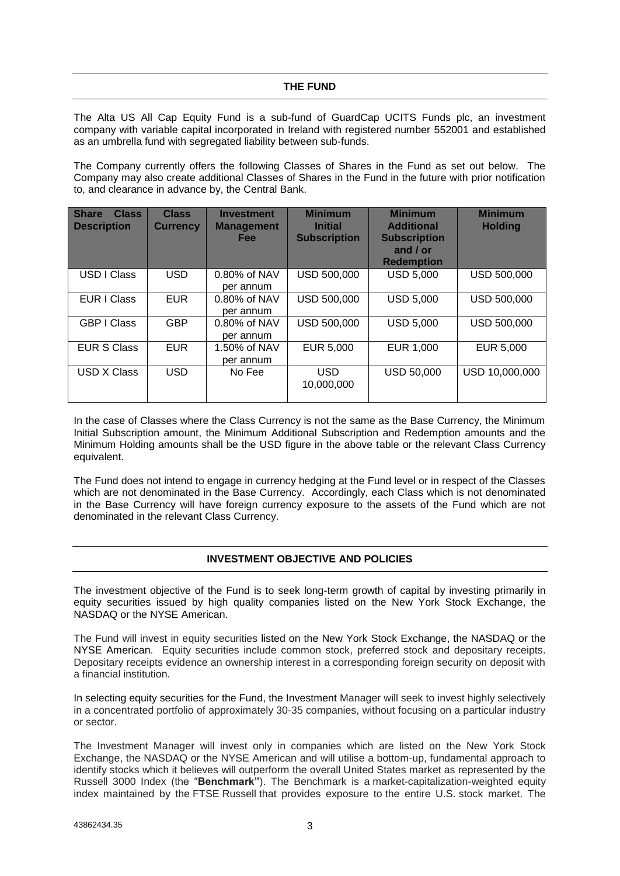<span id="page-3-0"></span>The Alta US All Cap Equity Fund is a sub-fund of GuardCap UCITS Funds plc, an investment company with variable capital incorporated in Ireland with registered number 552001 and established as an umbrella fund with segregated liability between sub-funds.

The Company currently offers the following Classes of Shares in the Fund as set out below. The Company may also create additional Classes of Shares in the Fund in the future with prior notification to, and clearance in advance by, the Central Bank.

| <b>Class</b><br><b>Share</b><br><b>Description</b> | <b>Class</b><br><b>Currency</b> | <b>Investment</b><br><b>Management</b><br><b>Fee</b> | <b>Minimum</b><br><b>Initial</b><br><b>Subscription</b> | <b>Minimum</b><br><b>Additional</b><br><b>Subscription</b><br>and $/$ or<br><b>Redemption</b> | <b>Minimum</b><br><b>Holding</b> |
|----------------------------------------------------|---------------------------------|------------------------------------------------------|---------------------------------------------------------|-----------------------------------------------------------------------------------------------|----------------------------------|
| USD I Class                                        | <b>USD</b>                      | 0.80% of NAV<br>per annum                            | USD 500,000                                             | <b>USD 5,000</b>                                                                              | <b>USD 500,000</b>               |
| <b>EUR I Class</b>                                 | <b>EUR</b>                      | 0.80% of NAV<br>per annum                            | USD 500,000                                             | <b>USD 5,000</b>                                                                              | USD 500,000                      |
| <b>GBP I Class</b>                                 | <b>GBP</b>                      | $0.80\%$ of NAV<br>per annum                         | USD 500,000                                             | <b>USD 5,000</b>                                                                              | USD 500,000                      |
| <b>EUR S Class</b>                                 | <b>EUR</b>                      | 1.50% of NAV<br>per annum                            | EUR 5,000                                               | EUR 1,000                                                                                     | EUR 5,000                        |
| <b>USD X Class</b>                                 | <b>USD</b>                      | No Fee                                               | <b>USD</b><br>10,000,000                                | <b>USD 50,000</b>                                                                             | USD 10,000,000                   |

In the case of Classes where the Class Currency is not the same as the Base Currency, the Minimum Initial Subscription amount, the Minimum Additional Subscription and Redemption amounts and the Minimum Holding amounts shall be the USD figure in the above table or the relevant Class Currency equivalent.

The Fund does not intend to engage in currency hedging at the Fund level or in respect of the Classes which are not denominated in the Base Currency. Accordingly, each Class which is not denominated in the Base Currency will have foreign currency exposure to the assets of the Fund which are not denominated in the relevant Class Currency.

# **INVESTMENT OBJECTIVE AND POLICIES**

<span id="page-3-1"></span>The investment objective of the Fund is to seek long-term growth of capital by investing primarily in equity securities issued by high quality companies listed on the New York Stock Exchange, the NASDAQ or the NYSE American.

The Fund will invest in equity securities listed on the New York Stock Exchange, the NASDAQ or the NYSE American. Equity securities include common stock, preferred stock and depositary receipts. Depositary receipts evidence an ownership interest in a corresponding foreign security on deposit with a financial institution.

In selecting equity securities for the Fund, the Investment Manager will seek to invest highly selectively in a concentrated portfolio of approximately 30-35 companies, without focusing on a particular industry or sector.

The Investment Manager will invest only in companies which are listed on the New York Stock Exchange, the NASDAQ or the NYSE American and will utilise a bottom-up, fundamental approach to identify stocks which it believes will outperform the overall United States market as represented by the Russell 3000 Index (the "**Benchmark"**). The Benchmark is a [market-capitalization-](https://www.investopedia.com/terms/m/marketcapitalization.asp)weighted equity index maintained by the [FTSE](https://www.investopedia.com/terms/f/ftse.asp) Russell that provides exposure to the entire U.S. [stock market.](https://www.investopedia.com/terms/s/stockmarket.asp) The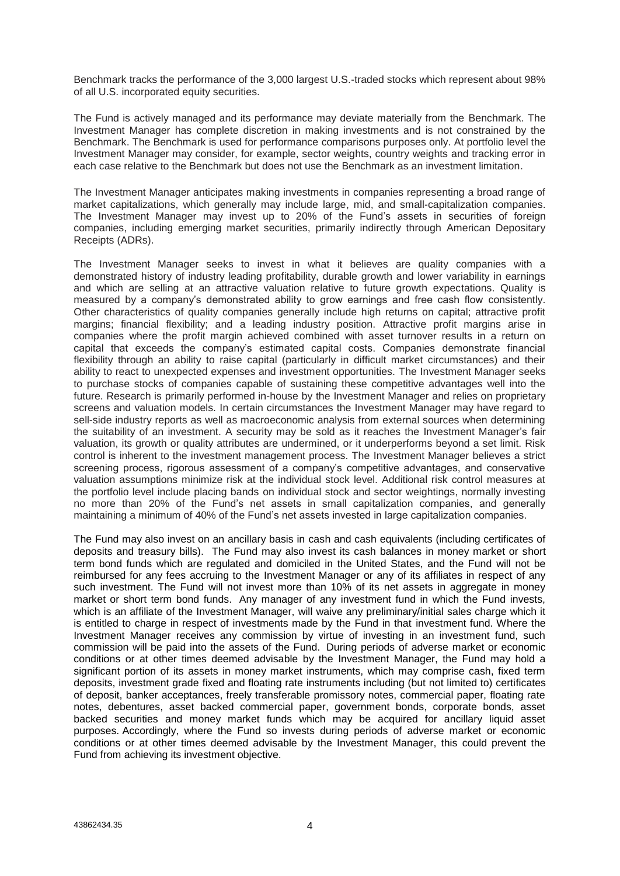Benchmark tracks the performance of the 3,000 largest U.S.-traded stocks which represent about 98% of all U.S. incorporated equity securities.

The Fund is actively managed and its performance may deviate materially from the Benchmark. The Investment Manager has complete discretion in making investments and is not constrained by the Benchmark. The Benchmark is used for performance comparisons purposes only. At portfolio level the Investment Manager may consider, for example, sector weights, country weights and tracking error in each case relative to the Benchmark but does not use the Benchmark as an investment limitation.

The Investment Manager anticipates making investments in companies representing a broad range of market capitalizations, which generally may include large, mid, and small-capitalization companies. The Investment Manager may invest up to 20% of the Fund's assets in securities of foreign companies, including emerging market securities, primarily indirectly through American Depositary Receipts (ADRs).

The Investment Manager seeks to invest in what it believes are quality companies with a demonstrated history of industry leading profitability, durable growth and lower variability in earnings and which are selling at an attractive valuation relative to future growth expectations. Quality is measured by a company's demonstrated ability to grow earnings and free cash flow consistently. Other characteristics of quality companies generally include high returns on capital; attractive profit margins; financial flexibility; and a leading industry position. Attractive profit margins arise in companies where the profit margin achieved combined with asset turnover results in a return on capital that exceeds the company's estimated capital costs. Companies demonstrate financial flexibility through an ability to raise capital (particularly in difficult market circumstances) and their ability to react to unexpected expenses and investment opportunities. The Investment Manager seeks to purchase stocks of companies capable of sustaining these competitive advantages well into the future. Research is primarily performed in-house by the Investment Manager and relies on proprietary screens and valuation models. In certain circumstances the Investment Manager may have regard to sell-side industry reports as well as macroeconomic analysis from external sources when determining the suitability of an investment. A security may be sold as it reaches the Investment Manager's fair valuation, its growth or quality attributes are undermined, or it underperforms beyond a set limit. Risk control is inherent to the investment management process. The Investment Manager believes a strict screening process, rigorous assessment of a company's competitive advantages, and conservative valuation assumptions minimize risk at the individual stock level. Additional risk control measures at the portfolio level include placing bands on individual stock and sector weightings, normally investing no more than 20% of the Fund's net assets in small capitalization companies, and generally maintaining a minimum of 40% of the Fund's net assets invested in large capitalization companies.

The Fund may also invest on an ancillary basis in cash and cash equivalents (including certificates of deposits and treasury bills). The Fund may also invest its cash balances in money market or short term bond funds which are regulated and domiciled in the United States, and the Fund will not be reimbursed for any fees accruing to the Investment Manager or any of its affiliates in respect of any such investment. The Fund will not invest more than 10% of its net assets in aggregate in money market or short term bond funds. Any manager of any investment fund in which the Fund invests, which is an affiliate of the Investment Manager, will waive any preliminary/initial sales charge which it is entitled to charge in respect of investments made by the Fund in that investment fund. Where the Investment Manager receives any commission by virtue of investing in an investment fund, such commission will be paid into the assets of the Fund. During periods of adverse market or economic conditions or at other times deemed advisable by the Investment Manager, the Fund may hold a significant portion of its assets in money market instruments, which may comprise cash, fixed term deposits, investment grade fixed and floating rate instruments including (but not limited to) certificates of deposit, banker acceptances, freely transferable promissory notes, commercial paper, floating rate notes, debentures, asset backed commercial paper, government bonds, corporate bonds, asset backed securities and money market funds which may be acquired for ancillary liquid asset purposes. Accordingly, where the Fund so invests during periods of adverse market or economic conditions or at other times deemed advisable by the Investment Manager, this could prevent the Fund from achieving its investment objective.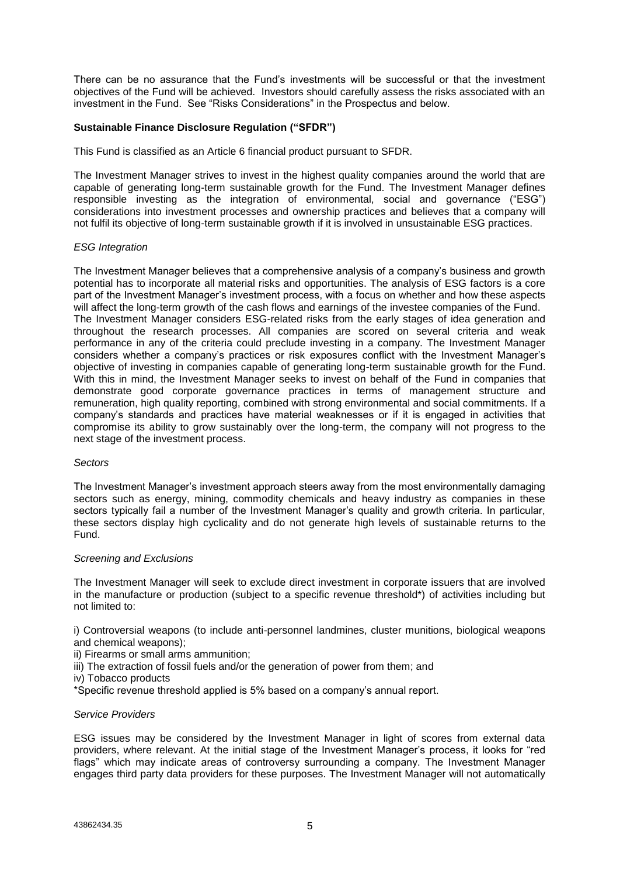There can be no assurance that the Fund's investments will be successful or that the investment objectives of the Fund will be achieved. Investors should carefully assess the risks associated with an investment in the Fund. See "Risks Considerations" in the Prospectus and below.

# **Sustainable Finance Disclosure Regulation ("SFDR")**

This Fund is classified as an Article 6 financial product pursuant to SFDR.

The Investment Manager strives to invest in the highest quality companies around the world that are capable of generating long-term sustainable growth for the Fund. The Investment Manager defines responsible investing as the integration of environmental, social and governance ("ESG") considerations into investment processes and ownership practices and believes that a company will not fulfil its objective of long-term sustainable growth if it is involved in unsustainable ESG practices.

#### *ESG Integration*

The Investment Manager believes that a comprehensive analysis of a company's business and growth potential has to incorporate all material risks and opportunities. The analysis of ESG factors is a core part of the Investment Manager's investment process, with a focus on whether and how these aspects will affect the long-term growth of the cash flows and earnings of the investee companies of the Fund. The Investment Manager considers ESG-related risks from the early stages of idea generation and throughout the research processes. All companies are scored on several criteria and weak performance in any of the criteria could preclude investing in a company. The Investment Manager considers whether a company's practices or risk exposures conflict with the Investment Manager's objective of investing in companies capable of generating long-term sustainable growth for the Fund. With this in mind, the Investment Manager seeks to invest on behalf of the Fund in companies that demonstrate good corporate governance practices in terms of management structure and remuneration, high quality reporting, combined with strong environmental and social commitments. If a company's standards and practices have material weaknesses or if it is engaged in activities that compromise its ability to grow sustainably over the long-term, the company will not progress to the next stage of the investment process.

#### *Sectors*

The Investment Manager's investment approach steers away from the most environmentally damaging sectors such as energy, mining, commodity chemicals and heavy industry as companies in these sectors typically fail a number of the Investment Manager's quality and growth criteria. In particular, these sectors display high cyclicality and do not generate high levels of sustainable returns to the Fund.

#### *Screening and Exclusions*

The Investment Manager will seek to exclude direct investment in corporate issuers that are involved in the manufacture or production (subject to a specific revenue threshold\*) of activities including but not limited to:

i) Controversial weapons (to include anti-personnel landmines, cluster munitions, biological weapons and chemical weapons);

ii) Firearms or small arms ammunition;

- iii) The extraction of fossil fuels and/or the generation of power from them; and
- iv) Tobacco products

\*Specific revenue threshold applied is 5% based on a company's annual report.

#### *Service Providers*

ESG issues may be considered by the Investment Manager in light of scores from external data providers, where relevant. At the initial stage of the Investment Manager's process, it looks for "red flags" which may indicate areas of controversy surrounding a company. The Investment Manager engages third party data providers for these purposes. The Investment Manager will not automatically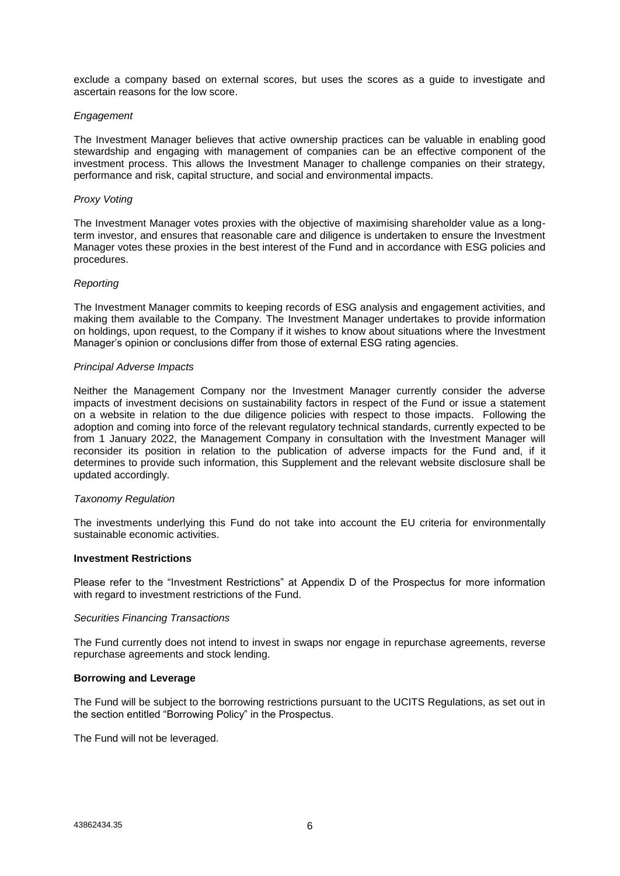exclude a company based on external scores, but uses the scores as a guide to investigate and ascertain reasons for the low score.

#### *Engagement*

The Investment Manager believes that active ownership practices can be valuable in enabling good stewardship and engaging with management of companies can be an effective component of the investment process. This allows the Investment Manager to challenge companies on their strategy, performance and risk, capital structure, and social and environmental impacts.

#### *Proxy Voting*

The Investment Manager votes proxies with the objective of maximising shareholder value as a longterm investor, and ensures that reasonable care and diligence is undertaken to ensure the Investment Manager votes these proxies in the best interest of the Fund and in accordance with ESG policies and procedures.

# *Reporting*

The Investment Manager commits to keeping records of ESG analysis and engagement activities, and making them available to the Company. The Investment Manager undertakes to provide information on holdings, upon request, to the Company if it wishes to know about situations where the Investment Manager's opinion or conclusions differ from those of external ESG rating agencies.

#### *Principal Adverse Impacts*

Neither the Management Company nor the Investment Manager currently consider the adverse impacts of investment decisions on sustainability factors in respect of the Fund or issue a statement on a website in relation to the due diligence policies with respect to those impacts. Following the adoption and coming into force of the relevant regulatory technical standards, currently expected to be from 1 January 2022, the Management Company in consultation with the Investment Manager will reconsider its position in relation to the publication of adverse impacts for the Fund and, if it determines to provide such information, this Supplement and the relevant website disclosure shall be updated accordingly.

#### *Taxonomy Regulation*

The investments underlying this Fund do not take into account the EU criteria for environmentally sustainable economic activities.

# **Investment Restrictions**

Please refer to the "Investment Restrictions" at Appendix D of the Prospectus for more information with regard to investment restrictions of the Fund.

#### *Securities Financing Transactions*

The Fund currently does not intend to invest in swaps nor engage in repurchase agreements, reverse repurchase agreements and stock lending.

#### **Borrowing and Leverage**

The Fund will be subject to the borrowing restrictions pursuant to the UCITS Regulations, as set out in the section entitled "Borrowing Policy" in the Prospectus.

The Fund will not be leveraged.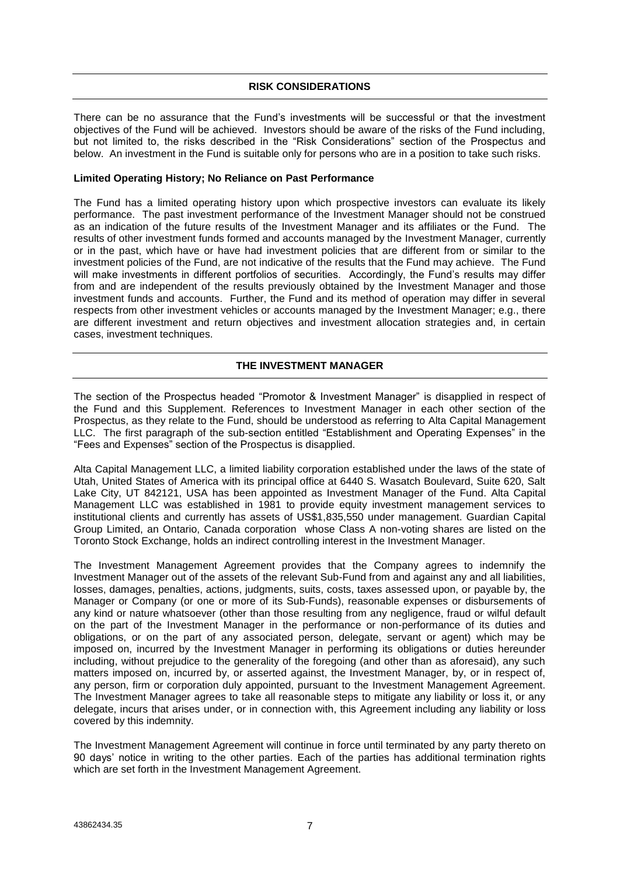# **RISK CONSIDERATIONS**

<span id="page-7-0"></span>There can be no assurance that the Fund's investments will be successful or that the investment objectives of the Fund will be achieved. Investors should be aware of the risks of the Fund including, but not limited to, the risks described in the "Risk Considerations" section of the Prospectus and below. An investment in the Fund is suitable only for persons who are in a position to take such risks.

#### **Limited Operating History; No Reliance on Past Performance**

The Fund has a limited operating history upon which prospective investors can evaluate its likely performance. The past investment performance of the Investment Manager should not be construed as an indication of the future results of the Investment Manager and its affiliates or the Fund. The results of other investment funds formed and accounts managed by the Investment Manager, currently or in the past, which have or have had investment policies that are different from or similar to the investment policies of the Fund, are not indicative of the results that the Fund may achieve. The Fund will make investments in different portfolios of securities. Accordingly, the Fund's results may differ from and are independent of the results previously obtained by the Investment Manager and those investment funds and accounts. Further, the Fund and its method of operation may differ in several respects from other investment vehicles or accounts managed by the Investment Manager; e.g., there are different investment and return objectives and investment allocation strategies and, in certain cases, investment techniques.

# **THE INVESTMENT MANAGER**

<span id="page-7-1"></span>The section of the Prospectus headed "Promotor & Investment Manager" is disapplied in respect of the Fund and this Supplement. References to Investment Manager in each other section of the Prospectus, as they relate to the Fund, should be understood as referring to Alta Capital Management LLC. The first paragraph of the sub-section entitled "Establishment and Operating Expenses" in the "Fees and Expenses" section of the Prospectus is disapplied.

Alta Capital Management LLC, a limited liability corporation established under the laws of the state of Utah, United States of America with its principal office at 6440 S. Wasatch Boulevard, Suite 620, Salt Lake City, UT 842121, USA has been appointed as Investment Manager of the Fund. Alta Capital Management LLC was established in 1981 to provide equity investment management services to institutional clients and currently has assets of US\$1,835,550 under management. Guardian Capital Group Limited, an Ontario, Canada corporation whose Class A non-voting shares are listed on the Toronto Stock Exchange, holds an indirect controlling interest in the Investment Manager.

The Investment Management Agreement provides that the Company agrees to indemnify the Investment Manager out of the assets of the relevant Sub-Fund from and against any and all liabilities, losses, damages, penalties, actions, judgments, suits, costs, taxes assessed upon, or payable by, the Manager or Company (or one or more of its Sub-Funds), reasonable expenses or disbursements of any kind or nature whatsoever (other than those resulting from any negligence, fraud or wilful default on the part of the Investment Manager in the performance or non-performance of its duties and obligations, or on the part of any associated person, delegate, servant or agent) which may be imposed on, incurred by the Investment Manager in performing its obligations or duties hereunder including, without prejudice to the generality of the foregoing (and other than as aforesaid), any such matters imposed on, incurred by, or asserted against, the Investment Manager, by, or in respect of, any person, firm or corporation duly appointed, pursuant to the Investment Management Agreement. The Investment Manager agrees to take all reasonable steps to mitigate any liability or loss it, or any delegate, incurs that arises under, or in connection with, this Agreement including any liability or loss covered by this indemnity.

The Investment Management Agreement will continue in force until terminated by any party thereto on 90 days' notice in writing to the other parties. Each of the parties has additional termination rights which are set forth in the Investment Management Agreement.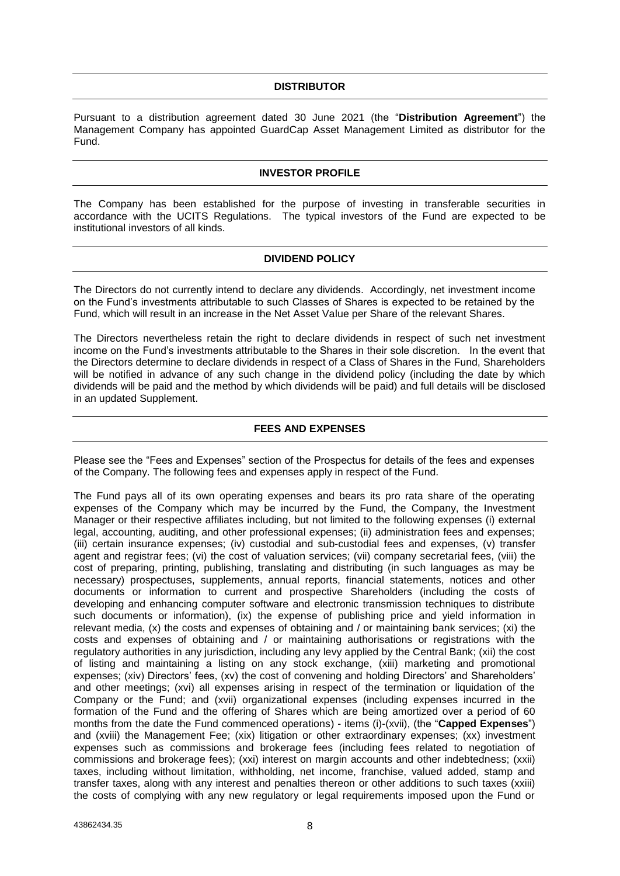# **DISTRIBUTOR**

<span id="page-8-0"></span>Pursuant to a distribution agreement dated 30 June 2021 (the "**Distribution Agreement**") the Management Company has appointed GuardCap Asset Management Limited as distributor for the Fund.

# **INVESTOR PROFILE**

<span id="page-8-1"></span>The Company has been established for the purpose of investing in transferable securities in accordance with the UCITS Regulations. The typical investors of the Fund are expected to be institutional investors of all kinds.

# **DIVIDEND POLICY**

<span id="page-8-2"></span>The Directors do not currently intend to declare any dividends. Accordingly, net investment income on the Fund's investments attributable to such Classes of Shares is expected to be retained by the Fund, which will result in an increase in the Net Asset Value per Share of the relevant Shares.

The Directors nevertheless retain the right to declare dividends in respect of such net investment income on the Fund's investments attributable to the Shares in their sole discretion. In the event that the Directors determine to declare dividends in respect of a Class of Shares in the Fund, Shareholders will be notified in advance of any such change in the dividend policy (including the date by which dividends will be paid and the method by which dividends will be paid) and full details will be disclosed in an updated Supplement.

# **FEES AND EXPENSES**

<span id="page-8-3"></span>Please see the "Fees and Expenses" section of the Prospectus for details of the fees and expenses of the Company. The following fees and expenses apply in respect of the Fund.

The Fund pays all of its own operating expenses and bears its pro rata share of the operating expenses of the Company which may be incurred by the Fund, the Company, the Investment Manager or their respective affiliates including, but not limited to the following expenses (i) external legal, accounting, auditing, and other professional expenses; (ii) administration fees and expenses; (iii) certain insurance expenses; (iv) custodial and sub-custodial fees and expenses, (v) transfer agent and registrar fees; (vi) the cost of valuation services; (vii) company secretarial fees, (viii) the cost of preparing, printing, publishing, translating and distributing (in such languages as may be necessary) prospectuses, supplements, annual reports, financial statements, notices and other documents or information to current and prospective Shareholders (including the costs of developing and enhancing computer software and electronic transmission techniques to distribute such documents or information), (ix) the expense of publishing price and yield information in relevant media, (x) the costs and expenses of obtaining and / or maintaining bank services; (xi) the costs and expenses of obtaining and / or maintaining authorisations or registrations with the regulatory authorities in any jurisdiction, including any levy applied by the Central Bank; (xii) the cost of listing and maintaining a listing on any stock exchange, (xiii) marketing and promotional expenses; (xiv) Directors' fees, (xv) the cost of convening and holding Directors' and Shareholders' and other meetings; (xvi) all expenses arising in respect of the termination or liquidation of the Company or the Fund; and (xvii) organizational expenses (including expenses incurred in the formation of the Fund and the offering of Shares which are being amortized over a period of 60 months from the date the Fund commenced operations) - items (i)-(xvii), (the "**Capped Expenses**") and (xviii) the Management Fee; (xix) litigation or other extraordinary expenses; (xx) investment expenses such as commissions and brokerage fees (including fees related to negotiation of commissions and brokerage fees); (xxi) interest on margin accounts and other indebtedness; (xxii) taxes, including without limitation, withholding, net income, franchise, valued added, stamp and transfer taxes, along with any interest and penalties thereon or other additions to such taxes (xxiii) the costs of complying with any new regulatory or legal requirements imposed upon the Fund or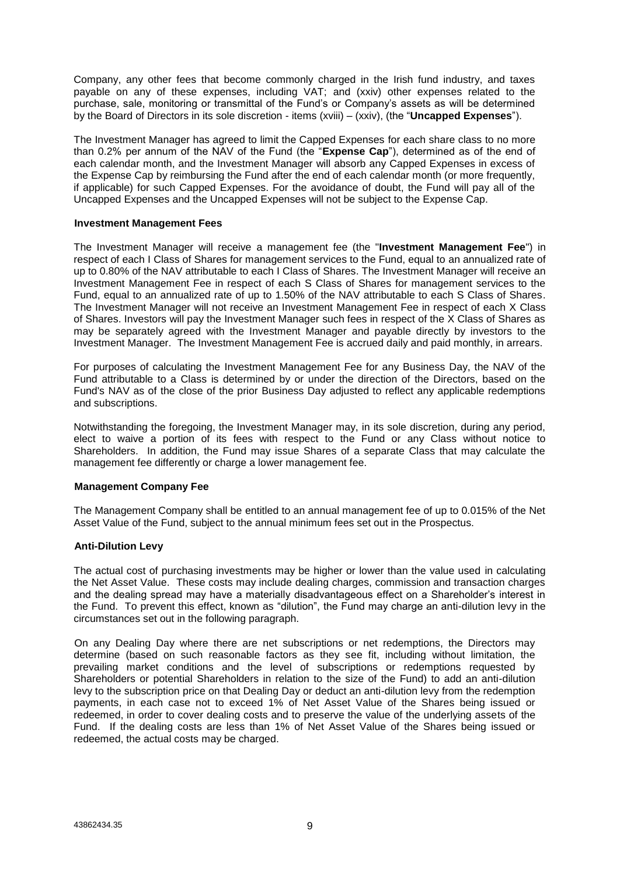Company, any other fees that become commonly charged in the Irish fund industry, and taxes payable on any of these expenses, including VAT; and (xxiv) other expenses related to the purchase, sale, monitoring or transmittal of the Fund's or Company's assets as will be determined by the Board of Directors in its sole discretion - items (xviii) – (xxiv), (the "**Uncapped Expenses**").

The Investment Manager has agreed to limit the Capped Expenses for each share class to no more than 0.2% per annum of the NAV of the Fund (the "**Expense Cap**"), determined as of the end of each calendar month, and the Investment Manager will absorb any Capped Expenses in excess of the Expense Cap by reimbursing the Fund after the end of each calendar month (or more frequently, if applicable) for such Capped Expenses. For the avoidance of doubt, the Fund will pay all of the Uncapped Expenses and the Uncapped Expenses will not be subject to the Expense Cap.

#### **Investment Management Fees**

The Investment Manager will receive a management fee (the "**Investment Management Fee**") in respect of each I Class of Shares for management services to the Fund, equal to an annualized rate of up to 0.80% of the NAV attributable to each I Class of Shares. The Investment Manager will receive an Investment Management Fee in respect of each S Class of Shares for management services to the Fund, equal to an annualized rate of up to 1.50% of the NAV attributable to each S Class of Shares. The Investment Manager will not receive an Investment Management Fee in respect of each X Class of Shares. Investors will pay the Investment Manager such fees in respect of the X Class of Shares as may be separately agreed with the Investment Manager and payable directly by investors to the Investment Manager. The Investment Management Fee is accrued daily and paid monthly, in arrears.

For purposes of calculating the Investment Management Fee for any Business Day, the NAV of the Fund attributable to a Class is determined by or under the direction of the Directors, based on the Fund's NAV as of the close of the prior Business Day adjusted to reflect any applicable redemptions and subscriptions.

Notwithstanding the foregoing, the Investment Manager may, in its sole discretion, during any period, elect to waive a portion of its fees with respect to the Fund or any Class without notice to Shareholders. In addition, the Fund may issue Shares of a separate Class that may calculate the management fee differently or charge a lower management fee.

# **Management Company Fee**

The Management Company shall be entitled to an annual management fee of up to 0.015% of the Net Asset Value of the Fund, subject to the annual minimum fees set out in the Prospectus.

# **Anti-Dilution Levy**

The actual cost of purchasing investments may be higher or lower than the value used in calculating the Net Asset Value. These costs may include dealing charges, commission and transaction charges and the dealing spread may have a materially disadvantageous effect on a Shareholder's interest in the Fund. To prevent this effect, known as "dilution", the Fund may charge an anti-dilution levy in the circumstances set out in the following paragraph.

On any Dealing Day where there are net subscriptions or net redemptions, the Directors may determine (based on such reasonable factors as they see fit, including without limitation, the prevailing market conditions and the level of subscriptions or redemptions requested by Shareholders or potential Shareholders in relation to the size of the Fund) to add an anti-dilution levy to the subscription price on that Dealing Day or deduct an anti-dilution levy from the redemption payments, in each case not to exceed 1% of Net Asset Value of the Shares being issued or redeemed, in order to cover dealing costs and to preserve the value of the underlying assets of the Fund. If the dealing costs are less than 1% of Net Asset Value of the Shares being issued or redeemed, the actual costs may be charged.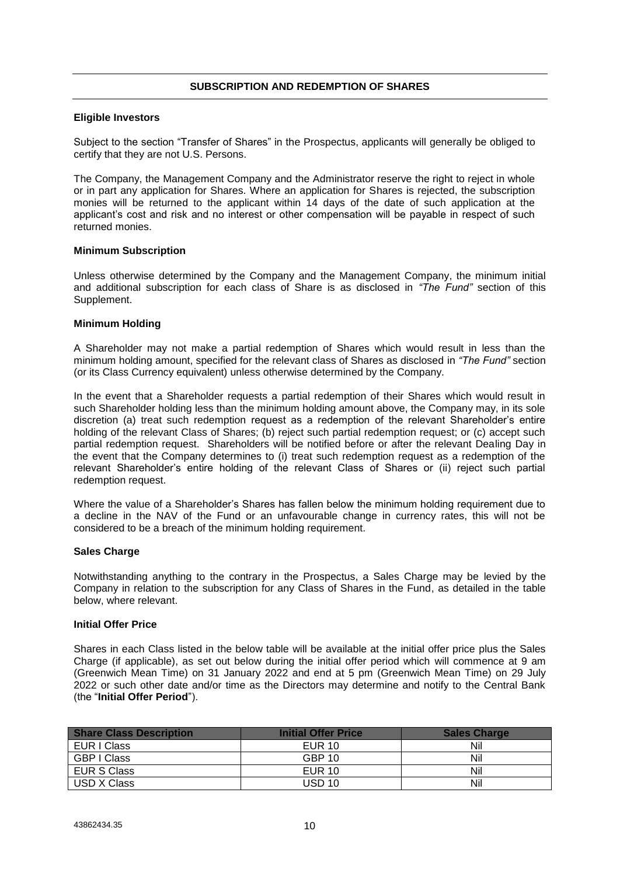# **SUBSCRIPTION AND REDEMPTION OF SHARES**

#### <span id="page-10-0"></span>**Eligible Investors**

Subject to the section "Transfer of Shares" in the Prospectus, applicants will generally be obliged to certify that they are not U.S. Persons.

The Company, the Management Company and the Administrator reserve the right to reject in whole or in part any application for Shares. Where an application for Shares is rejected, the subscription monies will be returned to the applicant within 14 days of the date of such application at the applicant's cost and risk and no interest or other compensation will be payable in respect of such returned monies.

#### **Minimum Subscription**

Unless otherwise determined by the Company and the Management Company, the minimum initial and additional subscription for each class of Share is as disclosed in *"The Fund"* section of this Supplement.

# **Minimum Holding**

A Shareholder may not make a partial redemption of Shares which would result in less than the minimum holding amount, specified for the relevant class of Shares as disclosed in *"The Fund"* section (or its Class Currency equivalent) unless otherwise determined by the Company.

In the event that a Shareholder requests a partial redemption of their Shares which would result in such Shareholder holding less than the minimum holding amount above, the Company may, in its sole discretion (a) treat such redemption request as a redemption of the relevant Shareholder's entire holding of the relevant Class of Shares; (b) reject such partial redemption request; or (c) accept such partial redemption request. Shareholders will be notified before or after the relevant Dealing Day in the event that the Company determines to (i) treat such redemption request as a redemption of the relevant Shareholder's entire holding of the relevant Class of Shares or (ii) reject such partial redemption request.

Where the value of a Shareholder's Shares has fallen below the minimum holding requirement due to a decline in the NAV of the Fund or an unfavourable change in currency rates, this will not be considered to be a breach of the minimum holding requirement.

#### **Sales Charge**

Notwithstanding anything to the contrary in the Prospectus, a Sales Charge may be levied by the Company in relation to the subscription for any Class of Shares in the Fund, as detailed in the table below, where relevant.

#### **Initial Offer Price**

Shares in each Class listed in the below table will be available at the initial offer price plus the Sales Charge (if applicable), as set out below during the initial offer period which will commence at 9 am (Greenwich Mean Time) on 31 January 2022 and end at 5 pm (Greenwich Mean Time) on 29 July 2022 or such other date and/or time as the Directors may determine and notify to the Central Bank (the "**Initial Offer Period**").

| <b>Share Class Description</b> | <b>Initial Offer Price</b> | <b>Sales Charge</b> |
|--------------------------------|----------------------------|---------------------|
| EUR I Class                    | EUR 10                     | Nil                 |
| GBP I Class                    | GBP 10                     | Nil                 |
| EUR S Class                    | EUR 10                     | Nil                 |
| USD X Class                    | <b>USD 10</b>              | Nil                 |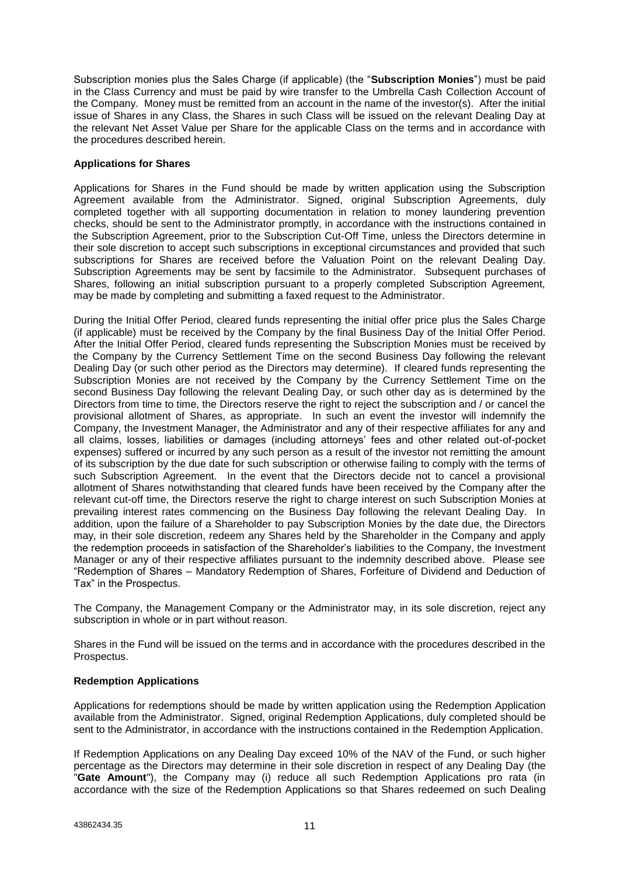Subscription monies plus the Sales Charge (if applicable) (the "**Subscription Monies**") must be paid in the Class Currency and must be paid by wire transfer to the Umbrella Cash Collection Account of the Company. Money must be remitted from an account in the name of the investor(s). After the initial issue of Shares in any Class, the Shares in such Class will be issued on the relevant Dealing Day at the relevant Net Asset Value per Share for the applicable Class on the terms and in accordance with the procedures described herein.

# **Applications for Shares**

Applications for Shares in the Fund should be made by written application using the Subscription Agreement available from the Administrator. Signed, original Subscription Agreements, duly completed together with all supporting documentation in relation to money laundering prevention checks, should be sent to the Administrator promptly, in accordance with the instructions contained in the Subscription Agreement, prior to the Subscription Cut-Off Time, unless the Directors determine in their sole discretion to accept such subscriptions in exceptional circumstances and provided that such subscriptions for Shares are received before the Valuation Point on the relevant Dealing Day. Subscription Agreements may be sent by facsimile to the Administrator. Subsequent purchases of Shares, following an initial subscription pursuant to a properly completed Subscription Agreement, may be made by completing and submitting a faxed request to the Administrator.

During the Initial Offer Period, cleared funds representing the initial offer price plus the Sales Charge (if applicable) must be received by the Company by the final Business Day of the Initial Offer Period. After the Initial Offer Period, cleared funds representing the Subscription Monies must be received by the Company by the Currency Settlement Time on the second Business Day following the relevant Dealing Day (or such other period as the Directors may determine). If cleared funds representing the Subscription Monies are not received by the Company by the Currency Settlement Time on the second Business Day following the relevant Dealing Day, or such other day as is determined by the Directors from time to time, the Directors reserve the right to reject the subscription and / or cancel the provisional allotment of Shares, as appropriate. In such an event the investor will indemnify the Company, the Investment Manager, the Administrator and any of their respective affiliates for any and all claims, losses, liabilities or damages (including attorneys' fees and other related out-of-pocket expenses) suffered or incurred by any such person as a result of the investor not remitting the amount of its subscription by the due date for such subscription or otherwise failing to comply with the terms of such Subscription Agreement. In the event that the Directors decide not to cancel a provisional allotment of Shares notwithstanding that cleared funds have been received by the Company after the relevant cut-off time, the Directors reserve the right to charge interest on such Subscription Monies at prevailing interest rates commencing on the Business Day following the relevant Dealing Day. In addition, upon the failure of a Shareholder to pay Subscription Monies by the date due, the Directors may, in their sole discretion, redeem any Shares held by the Shareholder in the Company and apply the redemption proceeds in satisfaction of the Shareholder's liabilities to the Company, the Investment Manager or any of their respective affiliates pursuant to the indemnity described above. Please see "Redemption of Shares – Mandatory Redemption of Shares, Forfeiture of Dividend and Deduction of Tax" in the Prospectus.

The Company, the Management Company or the Administrator may, in its sole discretion, reject any subscription in whole or in part without reason.

Shares in the Fund will be issued on the terms and in accordance with the procedures described in the Prospectus.

# **Redemption Applications**

Applications for redemptions should be made by written application using the Redemption Application available from the Administrator. Signed, original Redemption Applications, duly completed should be sent to the Administrator, in accordance with the instructions contained in the Redemption Application.

If Redemption Applications on any Dealing Day exceed 10% of the NAV of the Fund, or such higher percentage as the Directors may determine in their sole discretion in respect of any Dealing Day (the "**Gate Amount**"), the Company may (i) reduce all such Redemption Applications pro rata (in accordance with the size of the Redemption Applications so that Shares redeemed on such Dealing